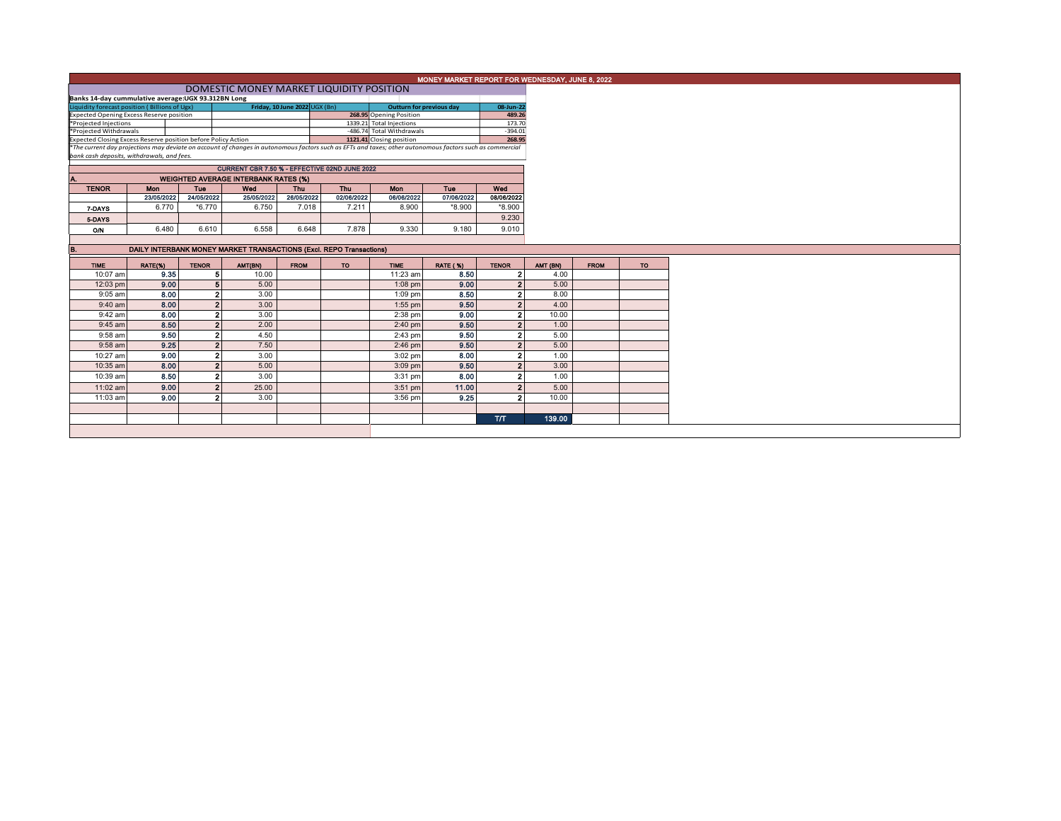|                                                                                                                                                                                                                                               | MONEY MARKET REPORT FOR WEDNESDAY, JUNE 8, 2022                                                |                |                                                                     |             |                           |                         |                 |                |          |             |     |
|-----------------------------------------------------------------------------------------------------------------------------------------------------------------------------------------------------------------------------------------------|------------------------------------------------------------------------------------------------|----------------|---------------------------------------------------------------------|-------------|---------------------------|-------------------------|-----------------|----------------|----------|-------------|-----|
|                                                                                                                                                                                                                                               |                                                                                                |                |                                                                     |             |                           |                         |                 |                |          |             |     |
|                                                                                                                                                                                                                                               | DOMESTIC MONEY MARKET LIQUIDITY POSITION<br>Banks 14-day cummulative average:UGX 93.312BN Long |                |                                                                     |             |                           |                         |                 |                |          |             |     |
|                                                                                                                                                                                                                                               | Friday, 10 June 2022 UGX (Bn)<br>08-Jun-22<br><b>Outturn for previous day</b>                  |                |                                                                     |             |                           |                         |                 |                |          |             |     |
|                                                                                                                                                                                                                                               | Liquidity forecast position (Billions of Ugx)<br>Expected Opening Excess Reserve position      |                |                                                                     |             |                           | 268.95 Opening Position |                 | 489.26         |          |             |     |
| *Projected Injections                                                                                                                                                                                                                         |                                                                                                |                |                                                                     |             | 1339.21 Total Injections  |                         | 173.70          |                |          |             |     |
| *Projected Withdrawals                                                                                                                                                                                                                        |                                                                                                |                |                                                                     |             | -486.74 Total Withdrawals |                         | $-394.01$       |                |          |             |     |
| Expected Closing Excess Reserve position before Policy Action<br><b>Expected Closing Excess Reserve position before Policy Action</b><br><b>The current day projections may deviate on account of changes in autonomous factors such as E</b> |                                                                                                |                |                                                                     |             |                           |                         | 268.95          |                |          |             |     |
|                                                                                                                                                                                                                                               |                                                                                                |                |                                                                     |             |                           |                         |                 |                |          |             |     |
| bank cash deposits, withdrawals, and fees.                                                                                                                                                                                                    |                                                                                                |                |                                                                     |             |                           |                         |                 |                |          |             |     |
|                                                                                                                                                                                                                                               | CURRENT CBR 7.50 % - EFFECTIVE 02ND JUNE 2022                                                  |                |                                                                     |             |                           |                         |                 |                |          |             |     |
|                                                                                                                                                                                                                                               |                                                                                                |                |                                                                     |             |                           |                         |                 |                |          |             |     |
| Α.                                                                                                                                                                                                                                            |                                                                                                |                | <b>WEIGHTED AVERAGE INTERBANK RATES (%)</b>                         |             |                           |                         |                 |                |          |             |     |
| <b>TENOR</b>                                                                                                                                                                                                                                  | Mon                                                                                            | Tue            | Wed                                                                 | <b>Thu</b>  | Thu                       | Mon                     | Tue             | Wed            |          |             |     |
|                                                                                                                                                                                                                                               | 23/05/2022                                                                                     | 24/05/2022     | 25/05/2022                                                          | 26/05/2022  | 02/06/2022                | 06/06/2022              | 07/06/2022      | 08/06/2022     |          |             |     |
| 7-DAYS                                                                                                                                                                                                                                        | 6.770                                                                                          | $*6.770$       | 6.750                                                               | 7.018       | 7.211                     | 8.900                   | *8.900          | $*8.900$       |          |             |     |
| 5-DAYS                                                                                                                                                                                                                                        |                                                                                                |                |                                                                     |             |                           |                         |                 | 9.230          |          |             |     |
|                                                                                                                                                                                                                                               | 6.480                                                                                          | 6.610          | 6.558                                                               | 6.648       | 7.878                     | 9.330                   | 9.180           | 9.010          |          |             |     |
| O/N                                                                                                                                                                                                                                           |                                                                                                |                |                                                                     |             |                           |                         |                 |                |          |             |     |
|                                                                                                                                                                                                                                               |                                                                                                |                |                                                                     |             |                           |                         |                 |                |          |             |     |
| В.                                                                                                                                                                                                                                            |                                                                                                |                | DAILY INTERBANK MONEY MARKET TRANSACTIONS (Excl. REPO Transactions) |             |                           |                         |                 |                |          |             |     |
| <b>TIME</b>                                                                                                                                                                                                                                   | RATE(%)                                                                                        | <b>TENOR</b>   | AMT(BN)                                                             | <b>FROM</b> | <b>TO</b>                 | <b>TIME</b>             | <b>RATE (%)</b> | <b>TENOR</b>   | AMT (BN) | <b>FROM</b> | TO. |
| 10:07 am                                                                                                                                                                                                                                      | 9.35                                                                                           | 5              | 10.00                                                               |             |                           | 11:23 am                | 8.50            | $\overline{2}$ | 4.00     |             |     |
| 12:03 pm                                                                                                                                                                                                                                      | 9.00                                                                                           |                | 5<br>5.00                                                           |             |                           | $1:08$ pm               | 9.00            | 2 <sup>1</sup> | 5.00     |             |     |
| $9:05$ am                                                                                                                                                                                                                                     | 8.00                                                                                           |                | 2 <sup>1</sup><br>3.00                                              |             |                           | 1:09 pm                 | 8.50            | $\overline{2}$ | 8.00     |             |     |
| 9:40 am                                                                                                                                                                                                                                       | 8.00                                                                                           |                | 2<br>3.00                                                           |             |                           | $1:55$ pm               | 9,50            | $\overline{2}$ | 4.00     |             |     |
|                                                                                                                                                                                                                                               |                                                                                                |                |                                                                     |             |                           |                         |                 |                |          |             |     |
| 9:42 am                                                                                                                                                                                                                                       | 8.00                                                                                           | $\overline{2}$ | 3.00                                                                |             |                           | 2:38 pm                 | 9.00            | $\overline{2}$ | 10.00    |             |     |
| $9:45$ am                                                                                                                                                                                                                                     | 8.50                                                                                           | $\overline{2}$ | 2.00                                                                |             |                           | $2:40$ pm               | 9.50            | 2 <sup>1</sup> | 1.00     |             |     |
| 9:58 am                                                                                                                                                                                                                                       | 9.50                                                                                           | $\overline{2}$ | 4.50                                                                |             |                           | 2:43 pm                 | 9.50            | $\overline{2}$ | 5.00     |             |     |
| $9:58$ am                                                                                                                                                                                                                                     | 9.25                                                                                           |                | 2 <sup>1</sup><br>7.50                                              |             |                           | $2:46$ pm               | 9.50            | 2 <sup>1</sup> | 5.00     |             |     |
| 10:27 am                                                                                                                                                                                                                                      | 9.00                                                                                           |                | $\mathbf{2}$<br>3.00                                                |             |                           | $3:02$ pm               | 8.00            | $\mathbf{2}$   | 1.00     |             |     |
| 10:35 am                                                                                                                                                                                                                                      | 8.00                                                                                           |                | $\overline{2}$<br>5.00                                              |             |                           | $3:09$ pm               | 9.50            | 2 <sup>1</sup> | 3.00     |             |     |
| 10:39 am                                                                                                                                                                                                                                      | 8.50                                                                                           | $\overline{2}$ | 3.00                                                                |             |                           | 3:31 pm                 | 8.00            | $\mathbf{2}$   | 1.00     |             |     |
|                                                                                                                                                                                                                                               | 9.00                                                                                           |                | $\overline{2}$                                                      |             |                           |                         | 11.00           | 2 <sup>1</sup> |          |             |     |
| 11:02 am                                                                                                                                                                                                                                      |                                                                                                |                | 25.00                                                               |             |                           | $3:51$ pm               |                 |                | 5.00     |             |     |
| 11:03 am                                                                                                                                                                                                                                      | 9.00                                                                                           | $\overline{2}$ | 3.00                                                                |             |                           | 3:56 pm                 | 9.25            | $\overline{2}$ | 10.00    |             |     |
|                                                                                                                                                                                                                                               |                                                                                                |                |                                                                     |             |                           |                         |                 |                |          |             |     |
|                                                                                                                                                                                                                                               |                                                                                                |                |                                                                     |             |                           |                         |                 | <b>T/T</b>     | 139.00   |             |     |
|                                                                                                                                                                                                                                               |                                                                                                |                |                                                                     |             |                           |                         |                 |                |          |             |     |
|                                                                                                                                                                                                                                               |                                                                                                |                |                                                                     |             |                           |                         |                 |                |          |             |     |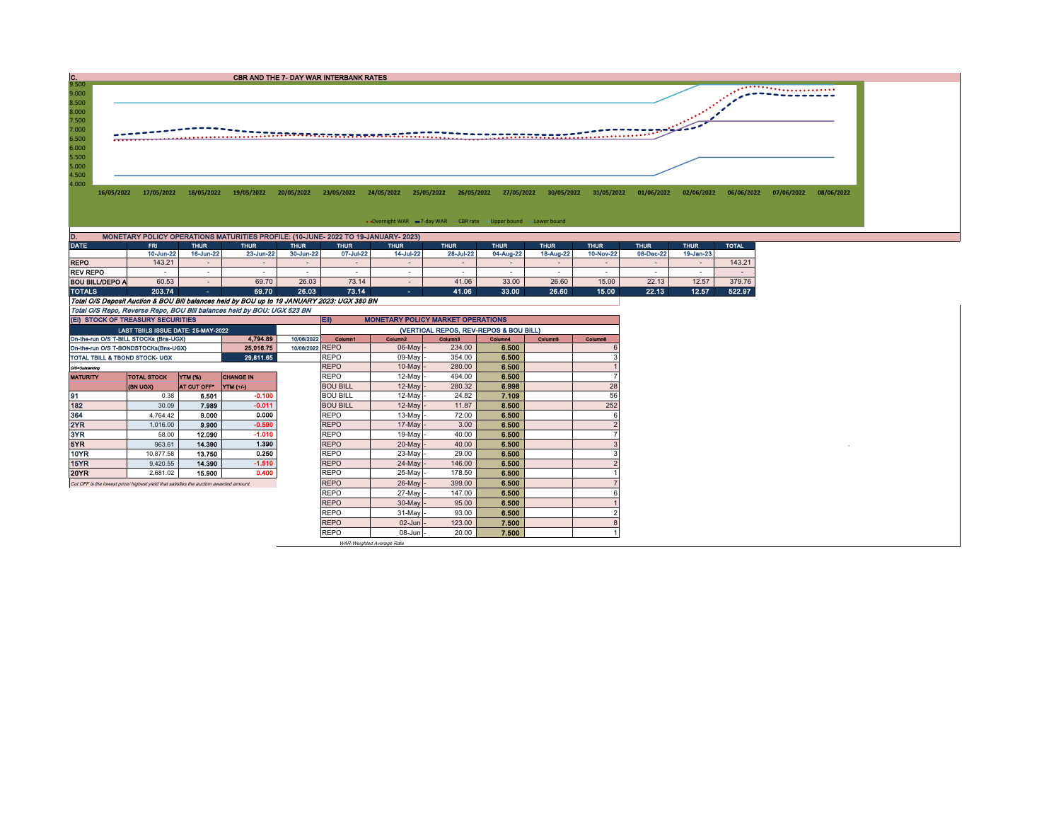

| ____                   |           | ______    | .         | ------    | .         | ------   | ------    | ------    | ------    | ------    | .         | .         | ____   |
|------------------------|-----------|-----------|-----------|-----------|-----------|----------|-----------|-----------|-----------|-----------|-----------|-----------|--------|
|                        | 10-Jun-22 | 16-Jun-22 | 23-Jun-22 | 30-Jun-22 | 07-Jul-22 | 4-Jul-22 | 28-Jul-22 | 04-Aug-22 | 18-Aug-22 | 10-Nov-22 | 08-Dec-22 | 19-Jan-23 |        |
| <b>REPO</b>            | 143.21    |           |           |           |           |          |           |           |           |           |           |           | 143.21 |
| <b>REV REPO</b>        |           |           |           |           |           |          |           |           |           |           |           |           |        |
| <b>BOU BILL/DEPO A</b> | 60.53     |           | 69.70     | 26.03     | 73.14     |          | 41.06     | 33.00     | 26.60     | 15.00     | 22.13     | 12.57     | 379.76 |
| <b>TOTALS</b>          | 203.74    |           | 69.70     | 26.03     | 73.14     |          | 41.06     | 33.00     | 26.60     | 15.00     | 22.13     | 12.57     | 522.97 |

Total O/S Deposit Auction & BOU Bill balances held by BOU up to 19 JANUARY 2023: UGX 380 BN

Total O/S Repo, Reverse Repo, BOU Bill balances held by BOU: UGX 523 BN

| (EI) STOCK OF TREASURY SECURITIES                                                    |                                                   |             |           |                 | EII)<br><b>MONETARY POLICY MARKET OPERATIONS</b> |                     |         |         |                |         |  |  |  |
|--------------------------------------------------------------------------------------|---------------------------------------------------|-------------|-----------|-----------------|--------------------------------------------------|---------------------|---------|---------|----------------|---------|--|--|--|
|                                                                                      | LAST TBIILS ISSUE DATE: 25-MAY-2022               |             |           |                 | (VERTICAL REPOS, REV-REPOS & BOU BILL)           |                     |         |         |                |         |  |  |  |
| On-the-run O/S T-BILL STOCKs (Bns-UGX)                                               |                                                   |             | 4.794.89  | 10/06/2022      | Column1                                          | Column <sub>2</sub> | Column3 | Column4 | <b>Column5</b> | Column6 |  |  |  |
| On-the-run O/S T-BONDSTOCKs(Bns-UGX)                                                 |                                                   |             | 25.016.75 | 10/06/2022 REPO |                                                  | $06$ -May -         | 234.00  | 6.500   |                |         |  |  |  |
| TOTAL TBILL & TBOND STOCK- UGX                                                       |                                                   |             | 29.811.65 |                 | <b>REPO</b>                                      | 09-May              | 354.00  | 6.500   |                |         |  |  |  |
| 0/3-Outstanding                                                                      |                                                   |             |           |                 | <b>REPO</b>                                      | $10$ -May $\vert$ - | 280.00  | 6.500   |                |         |  |  |  |
| <b>MATURITY</b>                                                                      | YTM (%)<br><b>TOTAL STOCK</b><br><b>CHANGE IN</b> |             |           |                 |                                                  | 12-May -            | 494.00  | 6.500   |                |         |  |  |  |
|                                                                                      | <b>(BN UGX)</b>                                   | AT CUT OFF* | YTM (+/-) |                 | <b>BOU BILL</b>                                  | $12$ -May -         | 280.32  | 6.998   |                | 28      |  |  |  |
| 91                                                                                   | 0.38                                              | 6.501       | $-0.100$  |                 | <b>BOU BILL</b>                                  | $12$ -May           | 24.82   | 7.109   |                | 56      |  |  |  |
| 182                                                                                  | 30.09                                             | 7.989       | $-0.011$  |                 | <b>BOU BILL</b>                                  | 12-May -            | 11.87   | 8.500   |                | 252     |  |  |  |
| 364                                                                                  | 4.764.42                                          | 9.000       | 0.000     |                 | <b>REPO</b>                                      | 13-May -            | 72.00   | 6.500   |                |         |  |  |  |
| 2YR                                                                                  | 1.016.00                                          | 9.900       | $-0.590$  |                 | <b>REPO</b>                                      | 17-May -            | 3.00    | 6.500   |                |         |  |  |  |
| 3YR                                                                                  | 58.00                                             | 12.090      | $-1.010$  |                 | <b>REPO</b>                                      | 19-May -            | 40.00   | 6,500   |                |         |  |  |  |
| 5YR.                                                                                 | 963.61                                            | 14,390      | 1.390     |                 | <b>REPO</b>                                      | 20-May -            | 40.00   | 6.500   |                |         |  |  |  |
| 10YR                                                                                 | 10.877.58                                         | 13.750      | 0.250     |                 | <b>REPO</b>                                      | 23-May -            | 29.00   | 6.500   |                |         |  |  |  |
| 15YR                                                                                 | 9.420.55                                          | 14.390      | $-1.510$  |                 | <b>REPO</b>                                      | 24-May -            | 146.00  | 6.500   |                |         |  |  |  |
| 20YR                                                                                 | 2,681.02                                          | 15,900      | 0.400     |                 | <b>REPO</b>                                      | 25-May -            | 178.50  | 6.500   |                |         |  |  |  |
| Cut OFF is the lowest price/highest vield that satisfies the auction awarded amount. |                                                   |             |           |                 | <b>REPO</b>                                      | $26$ -May -         | 399.00  | 6.500   |                |         |  |  |  |
|                                                                                      |                                                   |             |           |                 | <b>REPO</b>                                      | 27-May -            | 147.00  | 6.500   |                |         |  |  |  |
|                                                                                      |                                                   |             |           |                 | <b>REPO</b>                                      | 30-May -            | 95.00   | 6.500   |                |         |  |  |  |
|                                                                                      |                                                   |             |           |                 | <b>REPO</b>                                      | $31$ -May -         | 93.00   | 6.500   |                |         |  |  |  |
|                                                                                      |                                                   |             |           |                 | <b>REPO</b>                                      | $02$ -Jun $-$       | 123.00  | 7.500   |                |         |  |  |  |
|                                                                                      |                                                   |             |           |                 | <b>REPO</b>                                      | $08 - Jun$ -        | 20.00   | 7.500   |                |         |  |  |  |

WAR-Weighted Average Rate